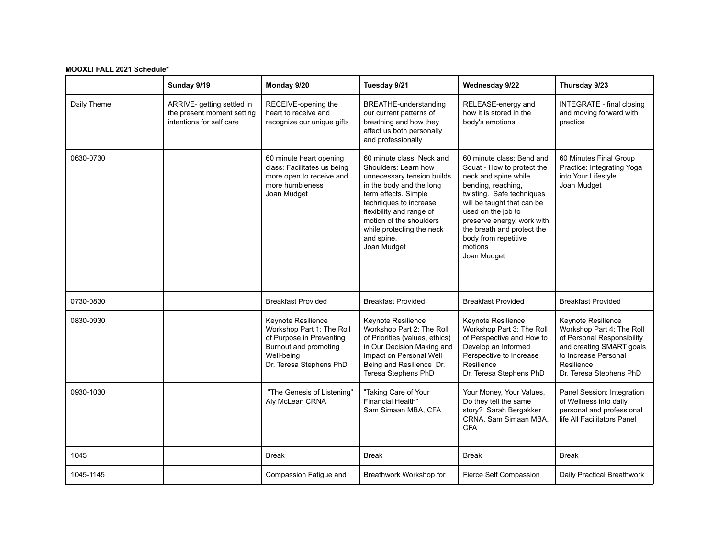## **MOOXLI FALL 2021 Schedule\***

|             | Sunday 9/19                                                                          | Monday 9/20                                                                                                                                   | Tuesday 9/21                                                                                                                                                                                                                                                                   | Wednesday 9/22                                                                                                                                                                                                                                                                                       | Thursday 9/23                                                                                                                                                              |
|-------------|--------------------------------------------------------------------------------------|-----------------------------------------------------------------------------------------------------------------------------------------------|--------------------------------------------------------------------------------------------------------------------------------------------------------------------------------------------------------------------------------------------------------------------------------|------------------------------------------------------------------------------------------------------------------------------------------------------------------------------------------------------------------------------------------------------------------------------------------------------|----------------------------------------------------------------------------------------------------------------------------------------------------------------------------|
| Daily Theme | ARRIVE- getting settled in<br>the present moment setting<br>intentions for self care | RECEIVE-opening the<br>heart to receive and<br>recognize our unique gifts                                                                     | BREATHE-understanding<br>our current patterns of<br>breathing and how they<br>affect us both personally<br>and professionally                                                                                                                                                  | RELEASE-energy and<br>how it is stored in the<br>body's emotions                                                                                                                                                                                                                                     | <b>INTEGRATE - final closing</b><br>and moving forward with<br>practice                                                                                                    |
| 0630-0730   |                                                                                      | 60 minute heart opening<br>class: Facilitates us being<br>more open to receive and<br>more humbleness<br>Joan Mudget                          | 60 minute class: Neck and<br>Shoulders: Learn how<br>unnecessary tension builds<br>in the body and the long<br>term effects. Simple<br>techniques to increase<br>flexibility and range of<br>motion of the shoulders<br>while protecting the neck<br>and spine.<br>Joan Mudget | 60 minute class: Bend and<br>Squat - How to protect the<br>neck and spine while<br>bending, reaching,<br>twisting. Safe techniques<br>will be taught that can be<br>used on the job to<br>preserve energy, work with<br>the breath and protect the<br>body from repetitive<br>motions<br>Joan Mudget | 60 Minutes Final Group<br>Practice: Integrating Yoga<br>into Your Lifestyle<br>Joan Mudget                                                                                 |
| 0730-0830   |                                                                                      | <b>Breakfast Provided</b>                                                                                                                     | <b>Breakfast Provided</b>                                                                                                                                                                                                                                                      | <b>Breakfast Provided</b>                                                                                                                                                                                                                                                                            | <b>Breakfast Provided</b>                                                                                                                                                  |
| 0830-0930   |                                                                                      | Keynote Resilience<br>Workshop Part 1: The Roll<br>of Purpose in Preventing<br>Burnout and promoting<br>Well-being<br>Dr. Teresa Stephens PhD | Keynote Resilience<br>Workshop Part 2: The Roll<br>of Priorities (values, ethics)<br>in Our Decision Making and<br>Impact on Personal Well<br>Being and Resilience Dr.<br>Teresa Stephens PhD                                                                                  | Keynote Resilience<br>Workshop Part 3: The Roll<br>of Perspective and How to<br>Develop an Informed<br>Perspective to Increase<br>Resilience<br>Dr. Teresa Stephens PhD                                                                                                                              | Keynote Resilience<br>Workshop Part 4: The Roll<br>of Personal Responsibility<br>and creating SMART goals<br>to Increase Personal<br>Resilience<br>Dr. Teresa Stephens PhD |
| 0930-1030   |                                                                                      | "The Genesis of Listening"<br>Aly McLean CRNA                                                                                                 | "Taking Care of Your<br><b>Financial Health"</b><br>Sam Simaan MBA, CFA                                                                                                                                                                                                        | Your Money, Your Values,<br>Do they tell the same<br>story? Sarah Bergakker<br>CRNA, Sam Simaan MBA,<br><b>CFA</b>                                                                                                                                                                                   | Panel Session: Integration<br>of Wellness into daily<br>personal and professional<br>life All Facilitators Panel                                                           |
| 1045        |                                                                                      | <b>Break</b>                                                                                                                                  | <b>Break</b>                                                                                                                                                                                                                                                                   | <b>Break</b>                                                                                                                                                                                                                                                                                         | <b>Break</b>                                                                                                                                                               |
| 1045-1145   |                                                                                      | Compassion Fatigue and                                                                                                                        | Breathwork Workshop for                                                                                                                                                                                                                                                        | Fierce Self Compassion                                                                                                                                                                                                                                                                               | Daily Practical Breathwork                                                                                                                                                 |